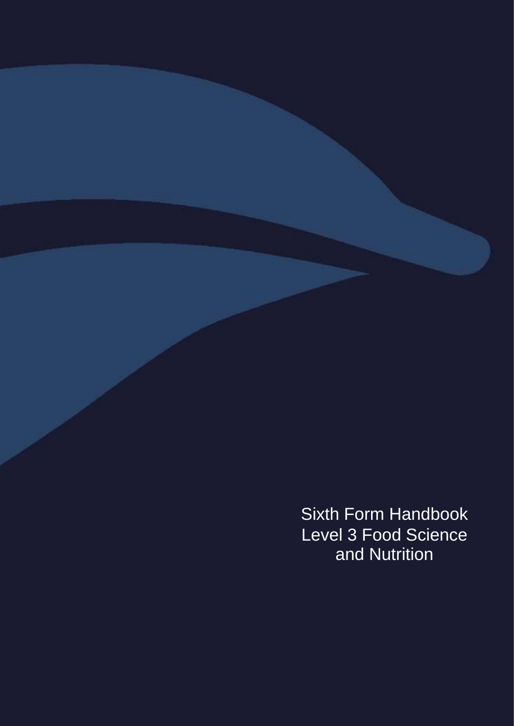Sixth Form Handbook Level 3 Food Science and Nutrition

Mathematics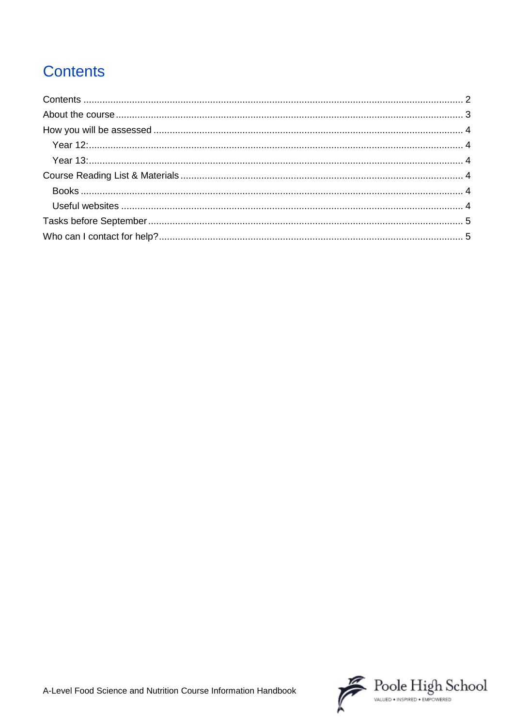# <span id="page-1-0"></span>**Contents**

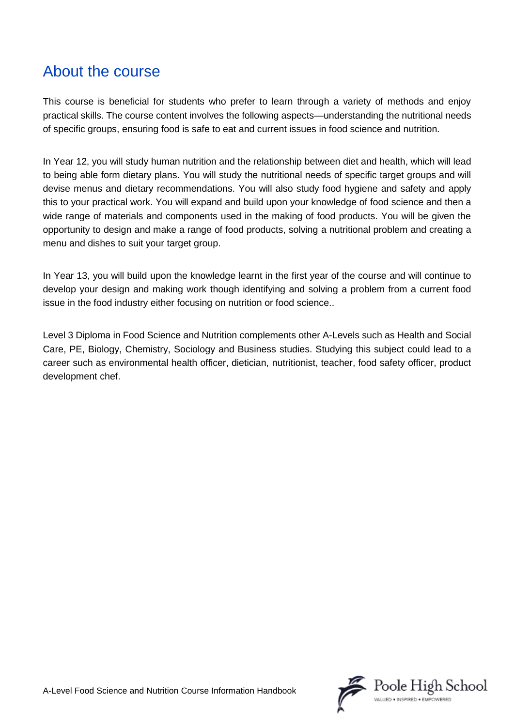## <span id="page-2-0"></span>About the course

This course is beneficial for students who prefer to learn through a variety of methods and enjoy practical skills. The course content involves the following aspects—understanding the nutritional needs of specific groups, ensuring food is safe to eat and current issues in food science and nutrition.

In Year 12, you will study human nutrition and the relationship between diet and health, which will lead to being able form dietary plans. You will study the nutritional needs of specific target groups and will devise menus and dietary recommendations. You will also study food hygiene and safety and apply this to your practical work. You will expand and build upon your knowledge of food science and then a wide range of materials and components used in the making of food products. You will be given the opportunity to design and make a range of food products, solving a nutritional problem and creating a menu and dishes to suit your target group.

In Year 13, you will build upon the knowledge learnt in the first year of the course and will continue to develop your design and making work though identifying and solving a problem from a current food issue in the food industry either focusing on nutrition or food science..

Level 3 Diploma in Food Science and Nutrition complements other A-Levels such as Health and Social Care, PE, Biology, Chemistry, Sociology and Business studies. Studying this subject could lead to a career such as environmental health officer, dietician, nutritionist, teacher, food safety officer, product development chef.

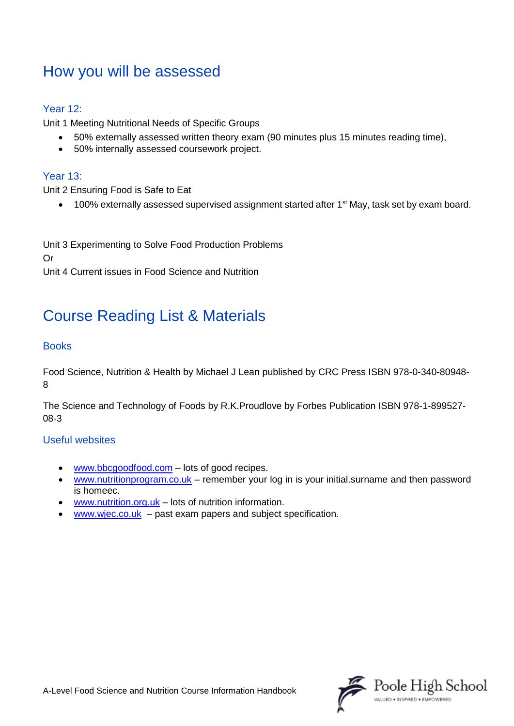## <span id="page-3-0"></span>How you will be assessed

### <span id="page-3-1"></span>Year 12:

Unit 1 Meeting Nutritional Needs of Specific Groups

- 50% externally assessed written theory exam (90 minutes plus 15 minutes reading time),
- 50% internally assessed coursework project.

#### <span id="page-3-2"></span>Year 13:

Unit 2 Ensuring Food is Safe to Eat

• 100% externally assessed supervised assignment started after 1<sup>st</sup> May, task set by exam board.

Unit 3 Experimenting to Solve Food Production Problems Or Unit 4 Current issues in Food Science and Nutrition

# <span id="page-3-3"></span>Course Reading List & Materials

### <span id="page-3-4"></span>**Books**

Food Science, Nutrition & Health by Michael J Lean published by CRC Press ISBN 978-0-340-80948- 8

The Science and Technology of Foods by R.K.Proudlove by Forbes Publication ISBN 978-1-899527- 08-3

#### <span id="page-3-5"></span>Useful websites

- [www.bbcgoodfood.com](http://www.bbcgoodfood.com/) lots of good recipes.
- [www.nutritionprogram.co.uk](http://www.nutritionprogram.co.uk/) remember your log in is your initial.surname and then password is homeec.
- [www.nutrition.org.uk](http://www.nutrition.org.uk/)  $-$  lots of nutrition information.
- $www.wjec.co.uk past exam papers and subject specification.$  $www.wjec.co.uk past exam papers and subject specification.$